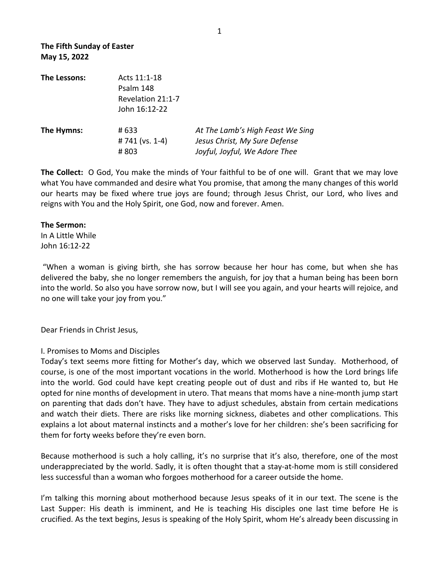| The Lessons:        | Acts 11:1-18                   |                               |
|---------------------|--------------------------------|-------------------------------|
|                     | Psalm 148<br>Revelation 21:1-7 |                               |
|                     |                                |                               |
|                     | The Hymns:                     | # 633                         |
| # 741 ( $vs. 1-4$ ) |                                | Jesus Christ, My Sure Defense |
| #803                |                                | Joyful, Joyful, We Adore Thee |

**The Collect:** O God, You make the minds of Your faithful to be of one will. Grant that we may love what You have commanded and desire what You promise, that among the many changes of this world our hearts may be fixed where true joys are found; through Jesus Christ, our Lord, who lives and reigns with You and the Holy Spirit, one God, now and forever. Amen.

## **The Sermon:**

In A Little While John 16:12-22 

"When a woman is giving birth, she has sorrow because her hour has come, but when she has delivered the baby, she no longer remembers the anguish, for joy that a human being has been born into the world. So also you have sorrow now, but I will see you again, and your hearts will rejoice, and no one will take your joy from you."

Dear Friends in Christ Jesus,

## I. Promises to Moms and Disciples

Today's text seems more fitting for Mother's day, which we observed last Sunday. Motherhood, of course, is one of the most important vocations in the world. Motherhood is how the Lord brings life into the world. God could have kept creating people out of dust and ribs if He wanted to, but He opted for nine months of development in utero. That means that moms have a nine-month jump start on parenting that dads don't have. They have to adjust schedules, abstain from certain medications and watch their diets. There are risks like morning sickness, diabetes and other complications. This explains a lot about maternal instincts and a mother's love for her children: she's been sacrificing for them for forty weeks before they're even born.

Because motherhood is such a holy calling, it's no surprise that it's also, therefore, one of the most underappreciated by the world. Sadly, it is often thought that a stay-at-home mom is still considered less successful than a woman who forgoes motherhood for a career outside the home.

I'm talking this morning about motherhood because Jesus speaks of it in our text. The scene is the Last Supper: His death is imminent, and He is teaching His disciples one last time before He is crucified. As the text begins, Jesus is speaking of the Holy Spirit, whom He's already been discussing in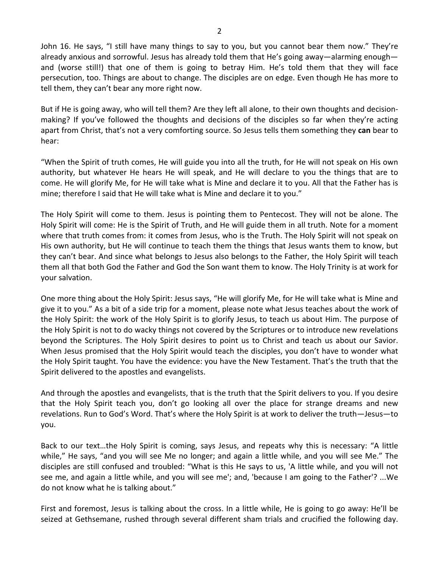John 16. He says, "I still have many things to say to you, but you cannot bear them now." They're already anxious and sorrowful. Jesus has already told them that He's going away—alarming enough and (worse still!) that one of them is going to betray Him. He's told them that they will face persecution, too. Things are about to change. The disciples are on edge. Even though He has more to tell them, they can't bear any more right now.

But if He is going away, who will tell them? Are they left all alone, to their own thoughts and decisionmaking? If you've followed the thoughts and decisions of the disciples so far when they're acting apart from Christ, that's not a very comforting source. So Jesus tells them something they can bear to hear: 

"When the Spirit of truth comes, He will guide you into all the truth, for He will not speak on His own authority, but whatever He hears He will speak, and He will declare to you the things that are to come. He will glorify Me, for He will take what is Mine and declare it to you. All that the Father has is mine; therefore I said that He will take what is Mine and declare it to you."

The Holy Spirit will come to them. Jesus is pointing them to Pentecost. They will not be alone. The Holy Spirit will come: He is the Spirit of Truth, and He will guide them in all truth. Note for a moment where that truth comes from: it comes from Jesus, who is the Truth. The Holy Spirit will not speak on His own authority, but He will continue to teach them the things that Jesus wants them to know, but they can't bear. And since what belongs to Jesus also belongs to the Father, the Holy Spirit will teach them all that both God the Father and God the Son want them to know. The Holy Trinity is at work for your salvation.

One more thing about the Holy Spirit: Jesus says, "He will glorify Me, for He will take what is Mine and give it to you." As a bit of a side trip for a moment, please note what Jesus teaches about the work of the Holy Spirit: the work of the Holy Spirit is to glorify Jesus, to teach us about Him. The purpose of the Holy Spirit is not to do wacky things not covered by the Scriptures or to introduce new revelations beyond the Scriptures. The Holy Spirit desires to point us to Christ and teach us about our Savior. When Jesus promised that the Holy Spirit would teach the disciples, you don't have to wonder what the Holy Spirit taught. You have the evidence: you have the New Testament. That's the truth that the Spirit delivered to the apostles and evangelists.

And through the apostles and evangelists, that is the truth that the Spirit delivers to you. If you desire that the Holy Spirit teach you, don't go looking all over the place for strange dreams and new revelations. Run to God's Word. That's where the Holy Spirit is at work to deliver the truth—Jesus—to you. 

Back to our text...the Holy Spirit is coming, says Jesus, and repeats why this is necessary: "A little while," He says, "and you will see Me no longer; and again a little while, and you will see Me." The disciples are still confused and troubled: "What is this He says to us, 'A little while, and you will not see me, and again a little while, and you will see me'; and, 'because I am going to the Father'? ...We do not know what he is talking about."

First and foremost, Jesus is talking about the cross. In a little while, He is going to go away: He'll be seized at Gethsemane, rushed through several different sham trials and crucified the following day.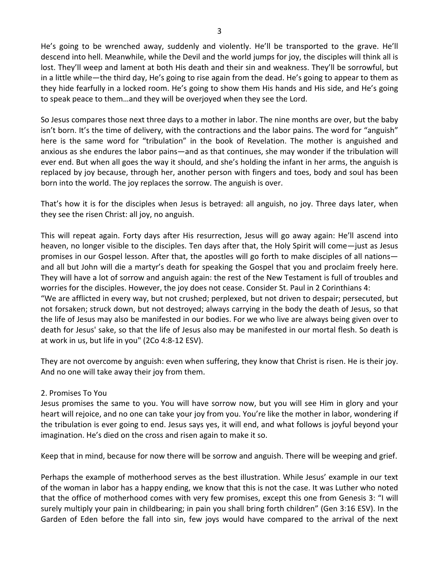He's going to be wrenched away, suddenly and violently. He'll be transported to the grave. He'll descend into hell. Meanwhile, while the Devil and the world jumps for joy, the disciples will think all is lost. They'll weep and lament at both His death and their sin and weakness. They'll be sorrowful, but in a little while—the third day, He's going to rise again from the dead. He's going to appear to them as they hide fearfully in a locked room. He's going to show them His hands and His side, and He's going to speak peace to them...and they will be overjoyed when they see the Lord.

So Jesus compares those next three days to a mother in labor. The nine months are over, but the baby isn't born. It's the time of delivery, with the contractions and the labor pains. The word for "anguish" here is the same word for "tribulation" in the book of Revelation. The mother is anguished and anxious as she endures the labor pains—and as that continues, she may wonder if the tribulation will ever end. But when all goes the way it should, and she's holding the infant in her arms, the anguish is replaced by joy because, through her, another person with fingers and toes, body and soul has been born into the world. The joy replaces the sorrow. The anguish is over.

That's how it is for the disciples when Jesus is betrayed: all anguish, no joy. Three days later, when they see the risen Christ: all joy, no anguish.

This will repeat again. Forty days after His resurrection, Jesus will go away again: He'll ascend into heaven, no longer visible to the disciples. Ten days after that, the Holy Spirit will come—just as Jesus promises in our Gospel lesson. After that, the apostles will go forth to make disciples of all nationsand all but John will die a martyr's death for speaking the Gospel that you and proclaim freely here. They will have a lot of sorrow and anguish again: the rest of the New Testament is full of troubles and worries for the disciples. However, the joy does not cease. Consider St. Paul in 2 Corinthians 4: "We are afflicted in every way, but not crushed; perplexed, but not driven to despair; persecuted, but not forsaken; struck down, but not destroyed; always carrying in the body the death of Jesus, so that the life of Jesus may also be manifested in our bodies. For we who live are always being given over to death for Jesus' sake, so that the life of Jesus also may be manifested in our mortal flesh. So death is at work in us, but life in you" (2Co 4:8-12 ESV).

They are not overcome by anguish: even when suffering, they know that Christ is risen. He is their joy. And no one will take away their joy from them.

## 2. Promises To You

Jesus promises the same to you. You will have sorrow now, but you will see Him in glory and your heart will rejoice, and no one can take your joy from you. You're like the mother in labor, wondering if the tribulation is ever going to end. Jesus says yes, it will end, and what follows is joyful beyond your imagination. He's died on the cross and risen again to make it so.

Keep that in mind, because for now there will be sorrow and anguish. There will be weeping and grief.

Perhaps the example of motherhood serves as the best illustration. While Jesus' example in our text of the woman in labor has a happy ending, we know that this is not the case. It was Luther who noted that the office of motherhood comes with very few promises, except this one from Genesis 3: "I will surely multiply your pain in childbearing; in pain you shall bring forth children" (Gen 3:16 ESV). In the Garden of Eden before the fall into sin, few joys would have compared to the arrival of the next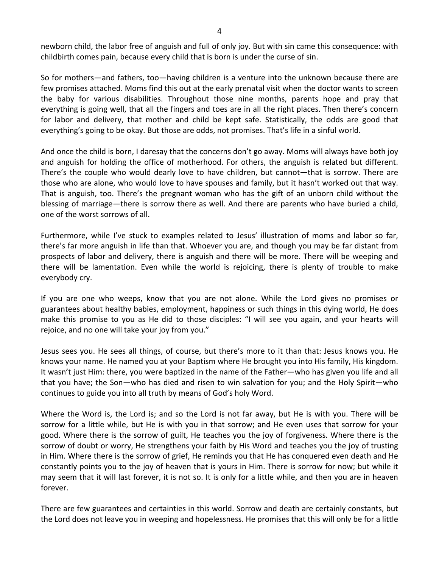newborn child, the labor free of anguish and full of only joy. But with sin came this consequence: with childbirth comes pain, because every child that is born is under the curse of sin.

So for mothers—and fathers, too—having children is a venture into the unknown because there are few promises attached. Moms find this out at the early prenatal visit when the doctor wants to screen the baby for various disabilities. Throughout those nine months, parents hope and pray that everything is going well, that all the fingers and toes are in all the right places. Then there's concern for labor and delivery, that mother and child be kept safe. Statistically, the odds are good that everything's going to be okay. But those are odds, not promises. That's life in a sinful world.

And once the child is born, I daresay that the concerns don't go away. Moms will always have both joy and anguish for holding the office of motherhood. For others, the anguish is related but different. There's the couple who would dearly love to have children, but cannot—that is sorrow. There are those who are alone, who would love to have spouses and family, but it hasn't worked out that way. That is anguish, too. There's the pregnant woman who has the gift of an unborn child without the blessing of marriage—there is sorrow there as well. And there are parents who have buried a child, one of the worst sorrows of all.

Furthermore, while I've stuck to examples related to Jesus' illustration of moms and labor so far, there's far more anguish in life than that. Whoever you are, and though you may be far distant from prospects of labor and delivery, there is anguish and there will be more. There will be weeping and there will be lamentation. Even while the world is rejoicing, there is plenty of trouble to make everybody cry.

If you are one who weeps, know that you are not alone. While the Lord gives no promises or guarantees about healthy babies, employment, happiness or such things in this dying world, He does make this promise to you as He did to those disciples: "I will see you again, and your hearts will rejoice, and no one will take your joy from you."

Jesus sees you. He sees all things, of course, but there's more to it than that: Jesus knows you. He knows your name. He named you at your Baptism where He brought you into His family, His kingdom. It wasn't just Him: there, you were baptized in the name of the Father—who has given you life and all that you have; the Son—who has died and risen to win salvation for you; and the Holy Spirit—who continues to guide you into all truth by means of God's holy Word.

Where the Word is, the Lord is; and so the Lord is not far away, but He is with you. There will be sorrow for a little while, but He is with you in that sorrow; and He even uses that sorrow for your good. Where there is the sorrow of guilt, He teaches you the joy of forgiveness. Where there is the sorrow of doubt or worry, He strengthens your faith by His Word and teaches you the joy of trusting in Him. Where there is the sorrow of grief, He reminds you that He has conquered even death and He constantly points you to the joy of heaven that is yours in Him. There is sorrow for now; but while it may seem that it will last forever, it is not so. It is only for a little while, and then you are in heaven forever. 

There are few guarantees and certainties in this world. Sorrow and death are certainly constants, but the Lord does not leave you in weeping and hopelessness. He promises that this will only be for a little